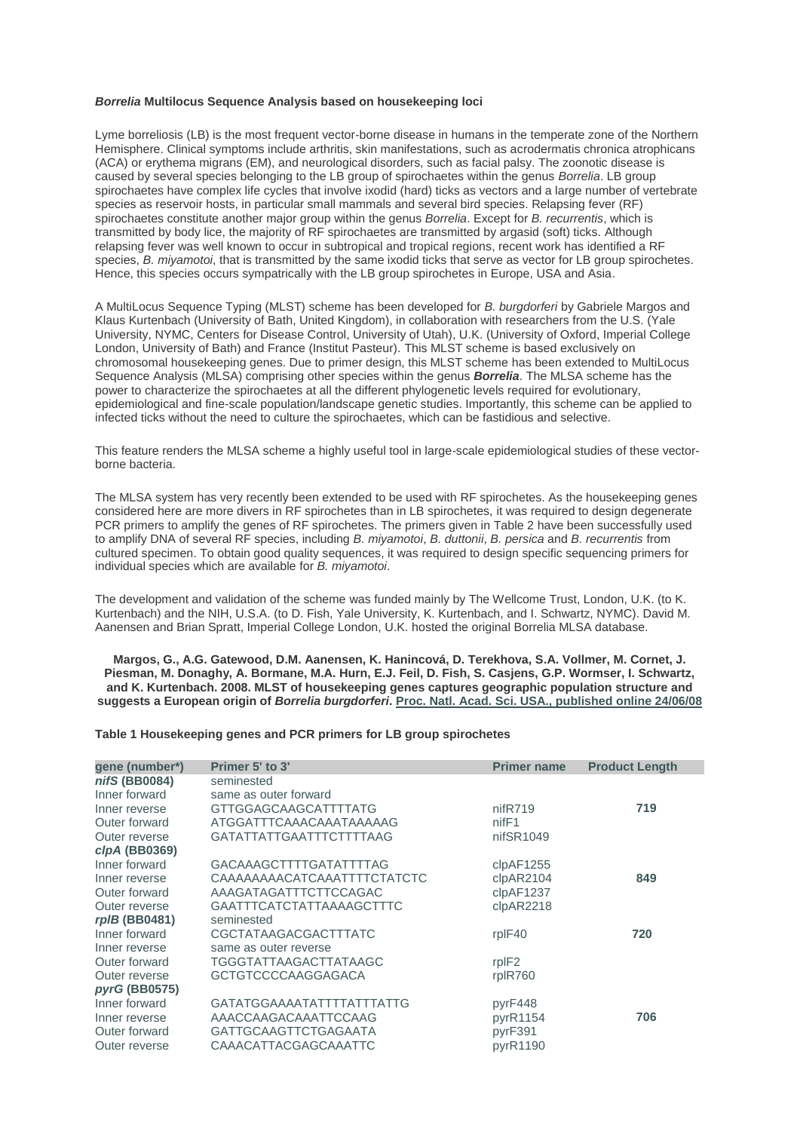#### *Borrelia* **Multilocus Sequence Analysis based on housekeeping loci**

Lyme borreliosis (LB) is the most frequent vector-borne disease in humans in the temperate zone of the Northern Hemisphere. Clinical symptoms include arthritis, skin manifestations, such as acrodermatis chronica atrophicans (ACA) or erythema migrans (EM), and neurological disorders, such as facial palsy. The zoonotic disease is caused by several species belonging to the LB group of spirochaetes within the genus *Borrelia*. LB group spirochaetes have complex life cycles that involve ixodid (hard) ticks as vectors and a large number of vertebrate species as reservoir hosts, in particular small mammals and several bird species. Relapsing fever (RF) spirochaetes constitute another major group within the genus *Borrelia*. Except for *B. recurrentis*, which is transmitted by body lice, the majority of RF spirochaetes are transmitted by argasid (soft) ticks. Although relapsing fever was well known to occur in subtropical and tropical regions, recent work has identified a RF species, *B. miyamotoi*, that is transmitted by the same ixodid ticks that serve as vector for LB group spirochetes. Hence, this species occurs sympatrically with the LB group spirochetes in Europe, USA and Asia.

A MultiLocus Sequence Typing (MLST) scheme has been developed for *B. burgdorferi* by Gabriele Margos and Klaus Kurtenbach (University of Bath, United Kingdom), in collaboration with researchers from the U.S. (Yale University, NYMC, Centers for Disease Control, University of Utah), U.K. (University of Oxford, Imperial College London, University of Bath) and France (Institut Pasteur). This MLST scheme is based exclusively on chromosomal housekeeping genes. Due to primer design, this MLST scheme has been extended to MultiLocus Sequence Analysis (MLSA) comprising other species within the genus *Borrelia*. The MLSA scheme has the power to characterize the spirochaetes at all the different phylogenetic levels required for evolutionary, epidemiological and fine-scale population/landscape genetic studies. Importantly, this scheme can be applied to infected ticks without the need to culture the spirochaetes, which can be fastidious and selective.

This feature renders the MLSA scheme a highly useful tool in large-scale epidemiological studies of these vectorborne bacteria.

The MLSA system has very recently been extended to be used with RF spirochetes. As the housekeeping genes considered here are more divers in RF spirochetes than in LB spirochetes, it was required to design degenerate PCR primers to amplify the genes of RF spirochetes. The primers given in Table 2 have been successfully used to amplify DNA of several RF species, including *B. miyamotoi*, *B. duttonii*, *B. persica* and *B. recurrentis* from cultured specimen. To obtain good quality sequences, it was required to design specific sequencing primers for individual species which are available for *B. miyamotoi*.

The development and validation of the scheme was funded mainly by The Wellcome Trust, London, U.K. (to K. Kurtenbach) and the NIH, U.S.A. (to D. Fish, Yale University, K. Kurtenbach, and I. Schwartz, NYMC). David M. Aanensen and Brian Spratt, Imperial College London, U.K. hosted the original Borrelia MLSA database.

**Margos, G., A.G. Gatewood, D.M. Aanensen, K. Hanincová, D. Terekhova, S.A. Vollmer, M. Cornet, J. Piesman, M. Donaghy, A. Bormane, M.A. Hurn, E.J. Feil, D. Fish, S. Casjens, G.P. Wormser, I. Schwartz, and K. Kurtenbach. 2008. MLST of housekeeping genes captures geographic population structure and suggests a European origin of** *Borrelia burgdorferi***[. Proc. Natl. Acad. Sci. USA., published online 24/06/08](http://www.pnas.org/cgi/content/abstract/0800323105v1)**

#### **Table 1 Housekeeping genes and PCR primers for LB group spirochetes**

| gene (number*)       | Primer 5' to 3'                 | <b>Primer name</b> | <b>Product Length</b> |
|----------------------|---------------------------------|--------------------|-----------------------|
| nifS (BB0084)        | seminested                      |                    |                       |
| Inner forward        | same as outer forward           |                    |                       |
| Inner reverse        | <b>GTTGGAGCAAGCATTTTATG</b>     | nifR719            | 719                   |
| Outer forward        | ATGGATTTCAAACAAATAAAAAG         | nif <sub>F1</sub>  |                       |
| Outer reverse        | GATATTATTGAATTTCTTTTAAG         | nifSR1049          |                       |
| clpA (BB0369)        |                                 |                    |                       |
| Inner forward        | GACAAAGCTTTTGATATTTTAG          | clpAF1255          |                       |
| Inner reverse        | CAAAAAAAACATCAAATTTTCTATCTC     | clpAR2104          | 849                   |
| Outer forward        | AAAGATAGATTTCTTCCAGAC           | clpAF1237          |                       |
| Outer reverse        | <b>GAATTTCATCTATTAAAAGCTTTC</b> | clpAR2218          |                       |
| $r$ pl $B$ (BB0481)  | seminested                      |                    |                       |
| Inner forward        | CGCTATAAGACGACTTTATC            | rpIF40             | 720                   |
| Inner reverse        | same as outer reverse           |                    |                       |
| Outer forward        | TGGGTATTAAGACTTATAAGC           | rpIF <sub>2</sub>  |                       |
| Outer reverse        | GCTGTCCCCAAGGAGACA              | rplR760            |                       |
| <i>pyrG</i> (BB0575) |                                 |                    |                       |
| Inner forward        | GATATGGAAAATATTTTATTTATTG       | pyrF448            |                       |
| Inner reverse        | AAACCAAGACAAATTCCAAG            | pyrR1154           | 706                   |
| Outer forward        | <b>GATTGCAAGTTCTGAGAATA</b>     | pyrF391            |                       |
| Outer reverse        | CAAACATTACGAGCAAATTC            | pyrR1190           |                       |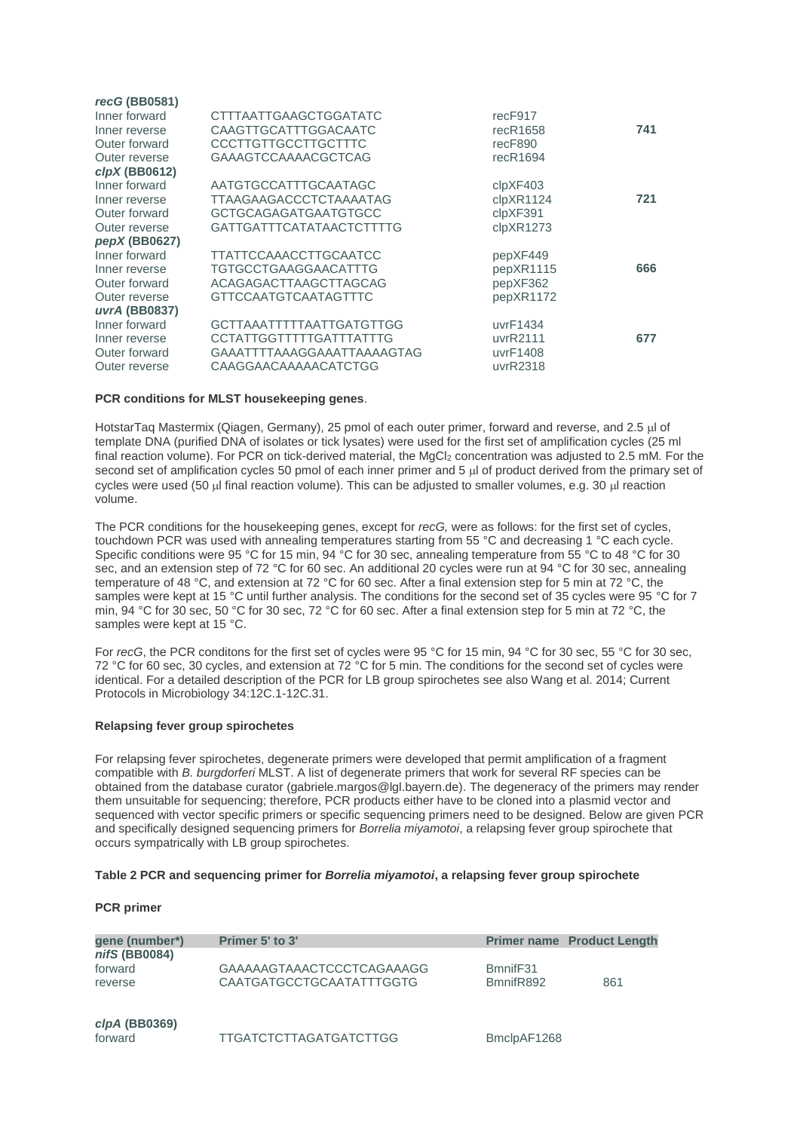| recG (BB0581)<br>Inner forward<br>Inner reverse<br>Outer forward<br>Outer reverse<br>$clpX$ (BB0612) | CTTTAATTGAAGCTGGATATC<br>CAAGTTGCATTTGGACAATC<br>CCCTTGTTGCCTTGCTTTC<br>GAAAGTCCAAAACGCTCAG                             | recF917<br>recR1658<br>recF890<br>recR1694     | 741 |
|------------------------------------------------------------------------------------------------------|-------------------------------------------------------------------------------------------------------------------------|------------------------------------------------|-----|
| Inner forward<br>Inner reverse<br>Outer forward<br>Outer reverse<br>pepX (BB0627)                    | AATGTGCCATTTGCAATAGC<br><b>TTAAGAAGACCCTCTAAAATAG</b><br><b>GCTGCAGAGATGAATGTGCC</b><br><b>GATTGATTTCATATAACTCTTTTG</b> | clpXF403<br>clpXR1124<br>clpXF391<br>clpXR1273 | 721 |
| Inner forward<br>Inner reverse<br>Outer forward<br>Outer reverse<br>uvrA (BB0837)                    | TTATTCCAAACCTTGCAATCC<br><b>TGTGCCTGAAGGAACATTTG</b><br>ACAGAGACTTAAGCTTAGCAG<br><b>GTTCCAATGTCAATAGTTTC</b>            | pepXF449<br>pepXR1115<br>pepXF362<br>pepXR1172 | 666 |
| Inner forward<br>Inner reverse<br>Outer forward<br>Outer reverse                                     | <b>GCTTAAATTTTTAATTGATGTTGG</b><br><b>CCTATTGGTTTTTGATTTATTTG</b><br>GAAATTTTAAAGGAAATTAAAAGTAG<br>CAAGGAACAAAAACATCTGG | uvrF1434<br>uvrR2111<br>uvrF1408<br>uvrR2318   | 677 |

### **PCR conditions for MLST housekeeping genes**.

HotstarTaq Mastermix (Qiagen, Germany), 25 pmol of each outer primer, forward and reverse, and 2.5 µl of template DNA (purified DNA of isolates or tick lysates) were used for the first set of amplification cycles (25 ml final reaction volume). For PCR on tick-derived material, the  $MgCl<sub>2</sub>$  concentration was adjusted to 2.5 mM. For the second set of amplification cycles 50 pmol of each inner primer and 5  $\mu$  of product derived from the primary set of cycles were used (50 µl final reaction volume). This can be adjusted to smaller volumes, e.g. 30 µl reaction volume.

The PCR conditions for the housekeeping genes, except for *recG,* were as follows: for the first set of cycles, touchdown PCR was used with annealing temperatures starting from 55 °C and decreasing 1 °C each cycle. Specific conditions were 95 °C for 15 min, 94 °C for 30 sec, annealing temperature from 55 °C to 48 °C for 30 sec, and an extension step of 72 °C for 60 sec. An additional 20 cycles were run at 94 °C for 30 sec, annealing temperature of 48 °C, and extension at 72 °C for 60 sec. After a final extension step for 5 min at 72 °C, the samples were kept at 15 °C until further analysis. The conditions for the second set of 35 cycles were 95 °C for 7 min, 94 °C for 30 sec, 50 °C for 30 sec, 72 °C for 60 sec. After a final extension step for 5 min at 72 °C, the samples were kept at 15 °C.

For *recG*, the PCR conditons for the first set of cycles were 95 °C for 15 min, 94 °C for 30 sec, 55 °C for 30 sec, 72 °C for 60 sec, 30 cycles, and extension at 72 °C for 5 min. The conditions for the second set of cycles were identical. For a detailed description of the PCR for LB group spirochetes see also Wang et al. 2014; Current Protocols in Microbiology 34:12C.1-12C.31.

### **Relapsing fever group spirochetes**

For relapsing fever spirochetes, degenerate primers were developed that permit amplification of a fragment compatible with *B. burgdorferi* MLST. A list of degenerate primers that work for several RF species can be obtained from the database curator (gabriele.margos@lgl.bayern.de). The degeneracy of the primers may render them unsuitable for sequencing; therefore, PCR products either have to be cloned into a plasmid vector and sequenced with vector specific primers or specific sequencing primers need to be designed. Below are given PCR and specifically designed sequencing primers for *Borrelia miyamotoi*, a relapsing fever group spirochete that occurs sympatrically with LB group spirochetes.

### **Table 2 PCR and sequencing primer for** *Borrelia miyamotoi***, a relapsing fever group spirochete**

## **PCR primer**

| gene (number*)<br>nifS (BB0084) | Primer 5' to 3'                                              |                       | <b>Primer name Product Length</b> |
|---------------------------------|--------------------------------------------------------------|-----------------------|-----------------------------------|
| forward<br>reverse              | GAAAAAGTAAACTCCCTCAGAAAGG<br><b>CAATGATGCCTGCAATATTTGGTG</b> | BmnifF31<br>BmnifR892 | 861                               |
| clpA(BB0369)<br>forward         | <b>TTGATCTCTTAGATGATCTTGG</b>                                | BmclpAF1268           |                                   |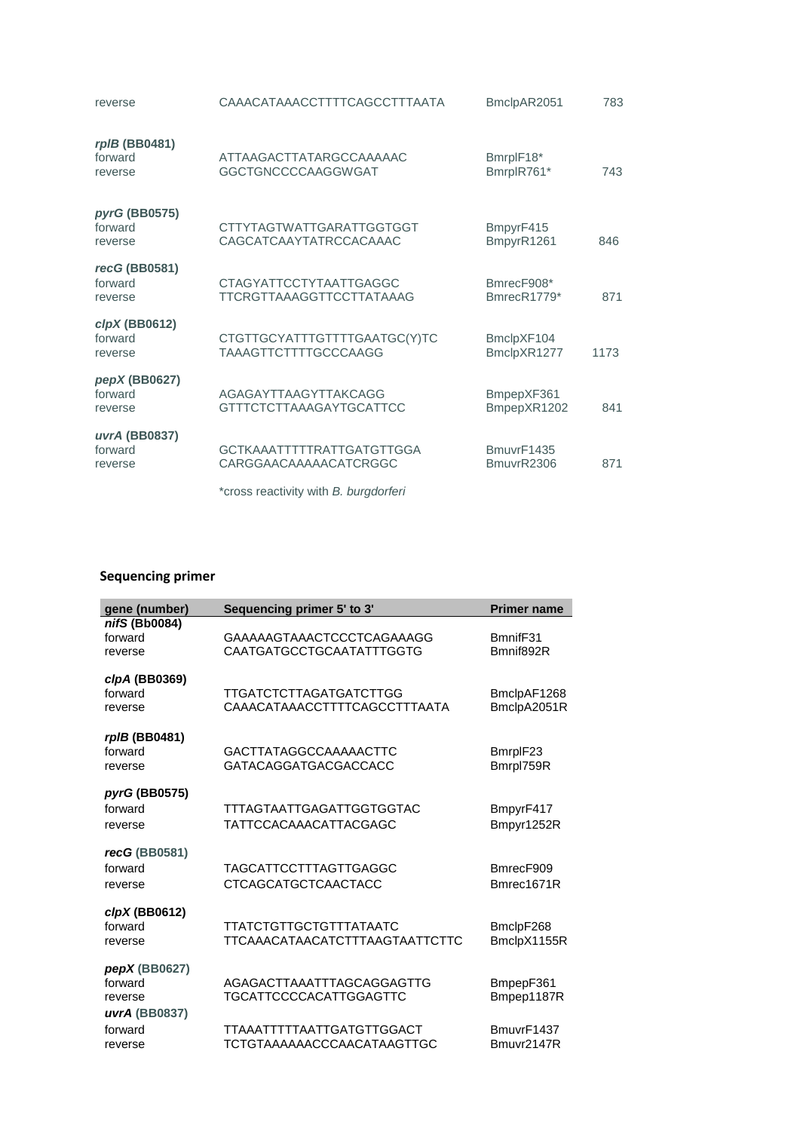| reverse                             | CAAACATAAACCTTTTCAGCCTTTAATA                                     | BmclpAR2051               | 783  |
|-------------------------------------|------------------------------------------------------------------|---------------------------|------|
| rpIB (BB0481)<br>forward<br>reverse | ATTAAGACTTATARGCCAAAAAC<br>GGCTGNCCCCAAGGWGAT                    | BmrplF18*<br>BmrplR761*   | 743  |
| pyrG (BB0575)<br>forward<br>reverse | CTTYTAGTWATTGARATTGGTGGT<br>CAGCATCAAYTATRCCACAAAC               | BmpyrF415<br>BmpyrR1261   | 846  |
| recG (BB0581)<br>forward<br>reverse | <b>CTAGYATTCCTYTAATTGAGGC</b><br><b>TTCRGTTAAAGGTTCCTTATAAAG</b> | BmrecF908*<br>BmrecR1779* | 871  |
| clpX(BB0612)<br>forward<br>reverse  | CTGTTGCYATTTGTTTTGAATGC(Y)TC<br><b>TAAAGTTCTTTTGCCCAAGG</b>      | BmclpXF104<br>BmclpXR1277 | 1173 |
| pepX (BB0627)<br>forward<br>reverse | AGAGAYTTAAGYTTAKCAGG<br><b>GTTTCTCTTAAAGAYTGCATTCC</b>           | BmpepXF361<br>BmpepXR1202 | 841  |
| uvrA (BB0837)<br>forward<br>reverse | <b>GCTKAAATTTTTRATTGATGTTGGA</b><br>CARGGAACAAAAACATCRGGC        | BmuvrF1435<br>BmuvrR2306  | 871  |
|                                     | *cross reactivity with B. burgdorferi                            |                           |      |

# **Sequencing primer**

| gene (number)                                          | Sequencing primer 5' to 3'                                      | <b>Primer name</b>         |
|--------------------------------------------------------|-----------------------------------------------------------------|----------------------------|
| nifS (Bb0084)<br>forward<br>reverse                    | GAAAAAGTAAACTCCCTCAGAAAGG<br><b>CAATGATGCCTGCAATATTTGGTG</b>    | BmnifF31<br>Bmnif892R      |
| clpA (BB0369)<br>forward<br>reverse                    | <b>TTGATCTCTTAGATGATCTTGG</b><br>CAAACATAAACCTTTTCAGCCTTTAATA   | BmclpAF1268<br>BmclpA2051R |
| rpIB (BB0481)<br>forward<br>reverse                    | GACTTATAGGCCAAAAACTTC<br><b>GATACAGGATGACGACCACC</b>            | BmrplF23<br>Bmrpl759R      |
| pyrG (BB0575)<br>forward<br>reverse                    | <b>TTTAGTAATTGAGATTGGTGGTAC</b><br><b>TATTCCACAAACATTACGAGC</b> | BmpyrF417<br>Bmpyr1252R    |
| recG (BB0581)<br>forward<br>reverse                    | <b>TAGCATTCCTTTAGTTGAGGC</b><br><b>CTCAGCATGCTCAACTACC</b>      | BmrecF909<br>Bmrec1671R    |
| $clpX$ (BB0612)<br>forward<br>reverse                  | <b>TTATCTGTTGCTGTTTATAATC</b><br>TTCAAACATAACATCTTTAAGTAATTCTTC | BmclpF268<br>BmclpX1155R   |
| $pepX$ (BB0627)<br>forward<br>reverse<br>uvrA (BB0837) | AGAGACTTAAATTTAGCAGGAGTTG<br><b>TGCATTCCCCACATTGGAGTTC</b>      | BmpepF361<br>Bmpep1187R    |
| forward<br>reverse                                     | TTAAATTTTTAATTGATGTTGGACT<br><b>TCTGTAAAAAACCCAACATAAGTTGC</b>  | BmuvrF1437<br>Bmuvr2147R   |